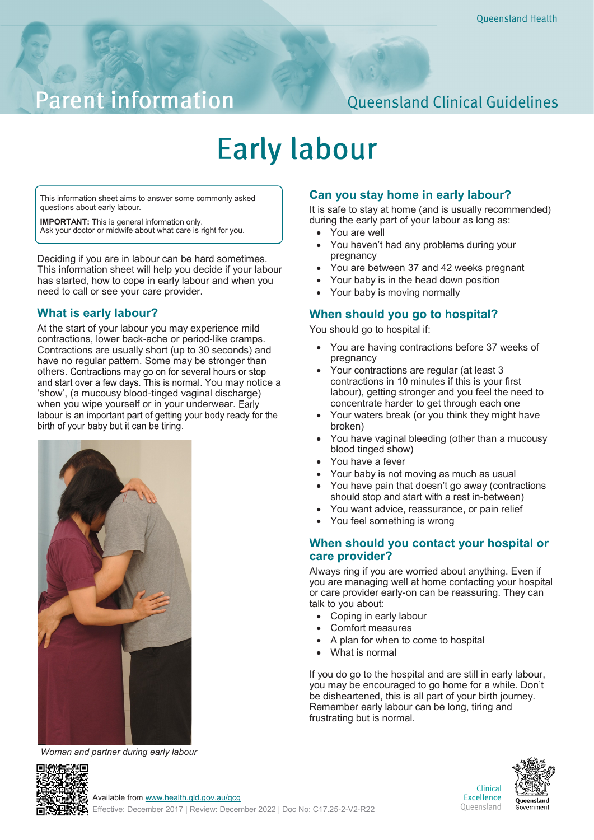## **Parent information**

### **Queensland Clinical Guidelines**

# **Early labour**

This information sheet aims to answer some commonly asked questions about early labour.

**IMPORTANT:** This is general information only. Ask your doctor or midwife about what care is right for you.

Deciding if you are in labour can be hard sometimes. This information sheet will help you decide if your labour has started, how to cope in early labour and when you need to call or see your care provider.

#### **What is early labour?**

At the start of your labour you may experience mild contractions, lower back-ache or period-like cramps. Contractions are usually short (up to 30 seconds) and have no regular pattern. Some may be stronger than others. Contractions may go on for several hours or stop and start over a few days. This is normal. You may notice a 'show', (a mucousy blood-tinged vaginal discharge) when you wipe yourself or in your underwear. Early labour is an important part of getting your body ready for the birth of your baby but it can be tiring.



*Woman and partner during early labour*

#### **Can you stay home in early labour?**

It is safe to stay at home (and is usually recommended) during the early part of your labour as long as:

- You are well
- You haven't had any problems during your pregnancy
- You are between 37 and 42 weeks pregnant
- Your baby is in the head down position
- Your baby is moving normally

#### **When should you go to hospital?**

You should go to hospital if:

- You are having contractions before 37 weeks of pregnancy
- Your contractions are regular (at least 3 contractions in 10 minutes if this is your first labour), getting stronger and you feel the need to concentrate harder to get through each one
- Your waters break (or you think they might have broken)
- You have vaginal bleeding (other than a mucousy blood tinged show)
- You have a fever
- Your baby is not moving as much as usual
- You have pain that doesn't go away (contractions should stop and start with a rest in-between)
- You want advice, reassurance, or pain relief
- You feel something is wrong

#### **When should you contact your hospital or care provider?**

Always ring if you are worried about anything. Even if you are managing well at home contacting your hospital or care provider early-on can be reassuring. They can talk to you about:

- Coping in early labour
- Comfort measures
- A plan for when to come to hospital
- What is normal

If you do go to the hospital and are still in early labour, you may be encouraged to go home for a while. Don't be disheartened, this is all part of your birth journey. Remember early labour can be long, tiring and frustrating but is normal.



Clinical **Excellence** Queensland



Available from [www.health.qld.gov.au/qcg](http://www.health.qld.gov.au/qcg)